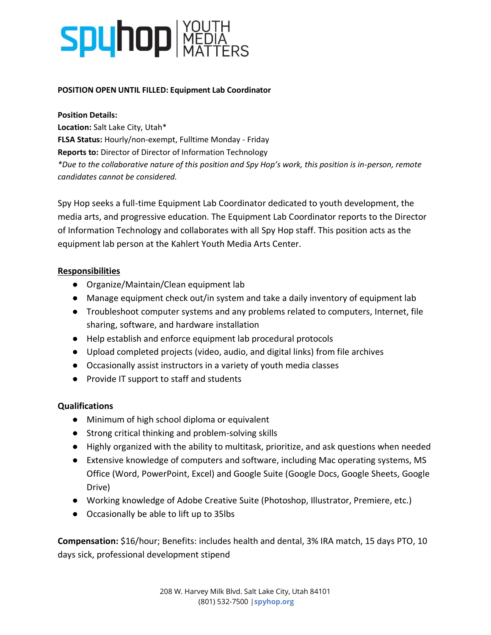# **Spuhop** MEDIA

### **POSITION OPEN UNTIL FILLED: Equipment Lab Coordinator**

#### **Position Details:**

**Location:** Salt Lake City, Utah\* **FLSA Status:** Hourly/non-exempt, Fulltime Monday - Friday **Reports to:** Director of Director of Information Technology *\*Due to the collaborative nature of this position and Spy Hop's work, this position is in-person, remote candidates cannot be considered.*

Spy Hop seeks a full-time Equipment Lab Coordinator dedicated to youth development, the media arts, and progressive education. The Equipment Lab Coordinator reports to the Director of Information Technology and collaborates with all Spy Hop staff. This position acts as the equipment lab person at the Kahlert Youth Media Arts Center.

### **Responsibilities**

- Organize/Maintain/Clean equipment lab
- Manage equipment check out/in system and take a daily inventory of equipment lab
- Troubleshoot computer systems and any problems related to computers, Internet, file sharing, software, and hardware installation
- Help establish and enforce equipment lab procedural protocols
- Upload completed projects (video, audio, and digital links) from file archives
- Occasionally assist instructors in a variety of youth media classes
- Provide IT support to staff and students

## **Qualifications**

- Minimum of high school diploma or equivalent
- Strong critical thinking and problem-solving skills
- Highly organized with the ability to multitask, prioritize, and ask questions when needed
- Extensive knowledge of computers and software, including Mac operating systems, MS Office (Word, PowerPoint, Excel) and Google Suite (Google Docs, Google Sheets, Google Drive)
- Working knowledge of Adobe Creative Suite (Photoshop, Illustrator, Premiere, etc.)
- Occasionally be able to lift up to 35lbs

**Compensation:** \$16/hour; Benefits: includes health and dental, 3% IRA match, 15 days PTO, 10 days sick, professional development stipend